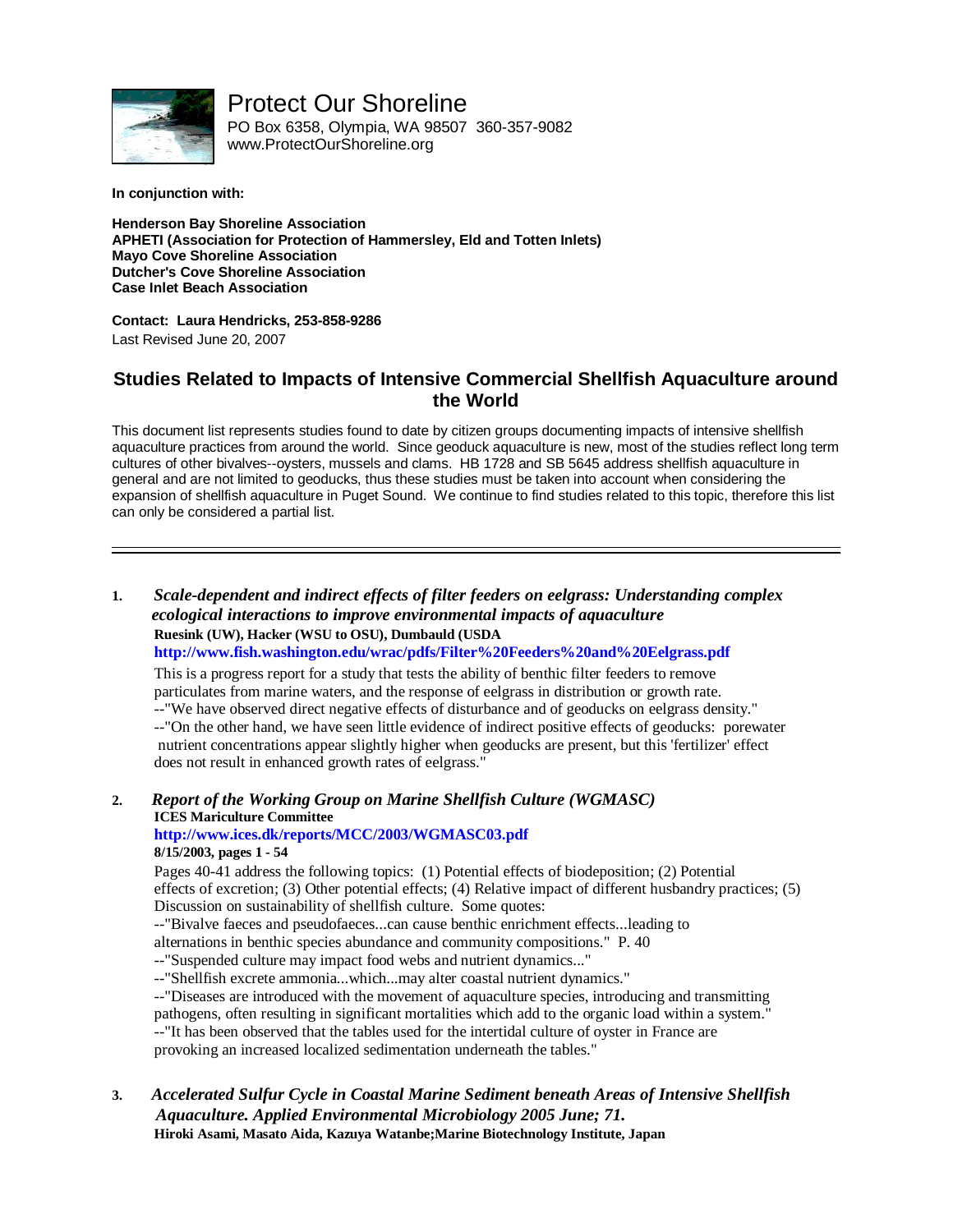

Protect Our Shoreline

PO Box 6358, Olympia, WA 98507 360-357-9082 www.ProtectOurShoreline.org

**In conjunction with:**

**Henderson Bay Shoreline Association APHETI (Association for Protection of Hammersley, Eld and Totten Inlets) Mayo Cove Shoreline Association Dutcher's Cove Shoreline Association Case Inlet Beach Association**

**Contact: Laura Hendricks, 253-858-9286**

Last Revised June 20, 2007

## **Studies Related to Impacts of Intensive Commercial Shellfish Aquaculture around the World**

This document list represents studies found to date by citizen groups documenting impacts of intensive shellfish aquaculture practices from around the world. Since geoduck aquaculture is new, most of the studies reflect long term cultures of other bivalves--oysters, mussels and clams. HB 1728 and SB 5645 address shellfish aquaculture in general and are not limited to geoducks, thus these studies must be taken into account when considering the expansion of shellfish aquaculture in Puget Sound. We continue to find studies related to this topic, therefore this list can only be considered a partial list.

**1.** *Scale-dependent and indirect effects of filter feeders on eelgrass: Understanding complex ecological interactions to improve environmental impacts of aquaculture* **Ruesink (UW), Hacker (WSU to OSU), Dumbauld (USDA http://www.fish.washington.edu/wrac/pdfs/Filter%20Feeders%20and%20Eelgrass.pdf**

This is a progress report for a study that tests the ability of benthic filter feeders to remove particulates from marine waters, and the response of eelgrass in distribution or growth rate.

--"We have observed direct negative effects of disturbance and of geoducks on eelgrass density."

--"On the other hand, we have seen little evidence of indirect positive effects of geoducks: porewater nutrient concentrations appear slightly higher when geoducks are present, but this 'fertilizer' effect does not result in enhanced growth rates of eelgrass."

**2.** *Report of the Working Group on Marine Shellfish Culture (WGMASC)* **ICES Mariculture Committee http://www.ices.dk/reports/MCC/2003/WGMASC03.pdf**

#### **8/15/2003, pages 1 - 54**

Pages 40-41 address the following topics: (1) Potential effects of biodeposition; (2) Potential effects of excretion; (3) Other potential effects; (4) Relative impact of different husbandry practices; (5) Discussion on sustainability of shellfish culture. Some quotes:

--"Bivalve faeces and pseudofaeces...can cause benthic enrichment effects...leading to

alternations in benthic species abundance and community compositions." P. 40

--"Suspended culture may impact food webs and nutrient dynamics..."

--"Shellfish excrete ammonia...which...may alter coastal nutrient dynamics."

--"Diseases are introduced with the movement of aquaculture species, introducing and transmitting

pathogens, often resulting in significant mortalities which add to the organic load within a system."

--"It has been observed that the tables used for the intertidal culture of oyster in France are provoking an increased localized sedimentation underneath the tables."

**3.** *Accelerated Sulfur Cycle in Coastal Marine Sediment beneath Areas of Intensive Shellfish Aquaculture. Applied Environmental Microbiology 2005 June; 71.* **Hiroki Asami, Masato Aida, Kazuya Watanbe;Marine Biotechnology Institute, Japan**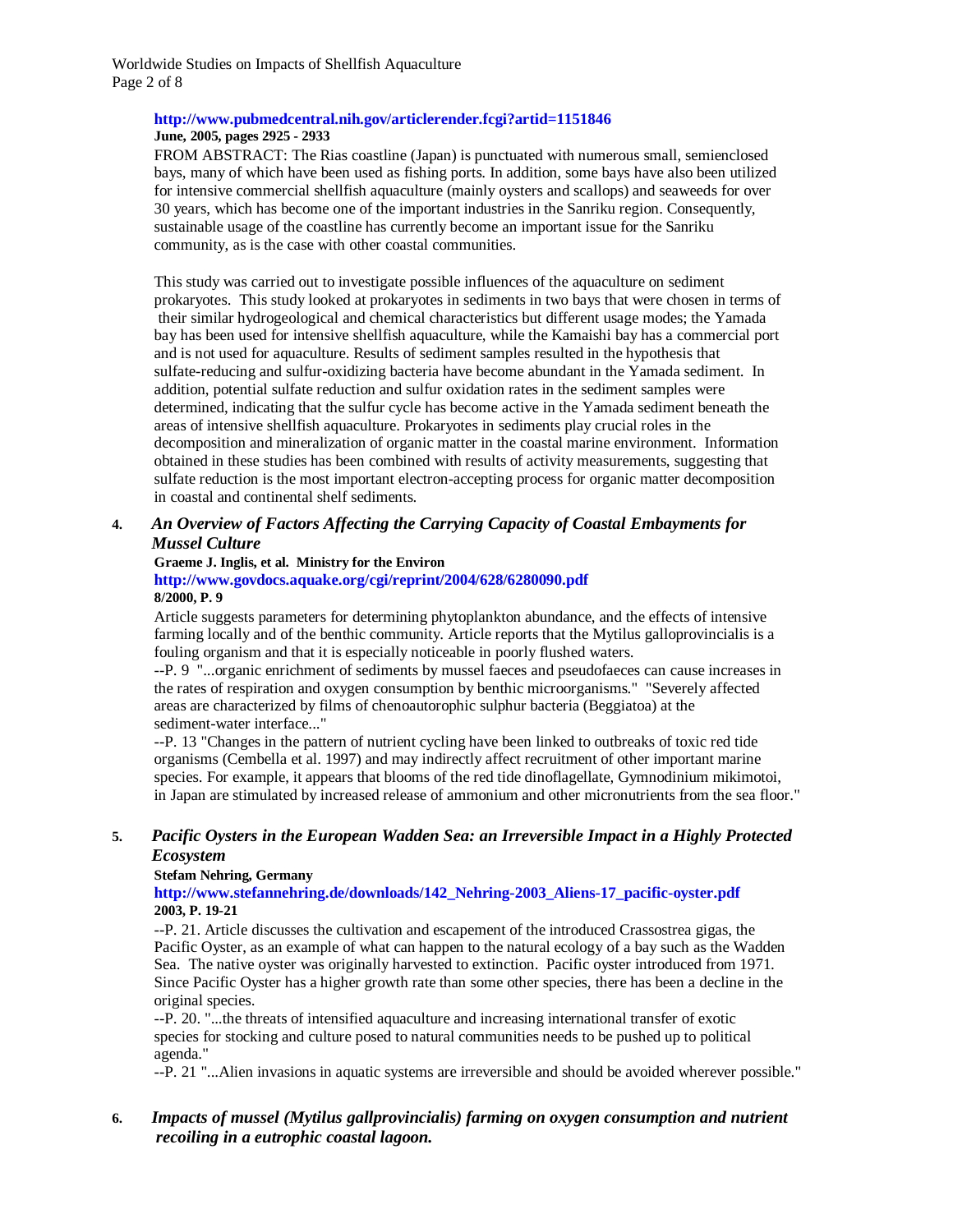Worldwide Studies on Impacts of Shellfish Aquaculture Page 2 of 8

#### **http://www.pubmedcentral.nih.gov/articlerender.fcgi?artid=1151846 June, 2005, pages 2925 - 2933**

FROM ABSTRACT: The Rias coastline (Japan) is punctuated with numerous small, semienclosed bays, many of which have been used as fishing ports. In addition, some bays have also been utilized for intensive commercial shellfish aquaculture (mainly oysters and scallops) and seaweeds for over 30 years, which has become one of the important industries in the Sanriku region. Consequently, sustainable usage of the coastline has currently become an important issue for the Sanriku community, as is the case with other coastal communities.

This study was carried out to investigate possible influences of the aquaculture on sediment prokaryotes. This study looked at prokaryotes in sediments in two bays that were chosen in terms of their similar hydrogeological and chemical characteristics but different usage modes; the Yamada bay has been used for intensive shellfish aquaculture, while the Kamaishi bay has a commercial port and is not used for aquaculture. Results of sediment samples resulted in the hypothesis that sulfate-reducing and sulfur-oxidizing bacteria have become abundant in the Yamada sediment. In addition, potential sulfate reduction and sulfur oxidation rates in the sediment samples were determined, indicating that the sulfur cycle has become active in the Yamada sediment beneath the areas of intensive shellfish aquaculture. Prokaryotes in sediments play crucial roles in the decomposition and mineralization of organic matter in the coastal marine environment. Information obtained in these studies has been combined with results of activity measurements, suggesting that sulfate reduction is the most important electron-accepting process for organic matter decomposition in coastal and continental shelf sediments.

### **4.** *An Overview of Factors Affecting the Carrying Capacity of Coastal Embayments for Mussel Culture*

# **Graeme J. Inglis, et al. Ministry for the Environ**

#### **http://www.govdocs.aquake.org/cgi/reprint/2004/628/6280090.pdf 8/2000, P. 9**

Article suggests parameters for determining phytoplankton abundance, and the effects of intensive farming locally and of the benthic community. Article reports that the Mytilus galloprovincialis is a fouling organism and that it is especially noticeable in poorly flushed waters.

--P. 9 "...organic enrichment of sediments by mussel faeces and pseudofaeces can cause increases in the rates of respiration and oxygen consumption by benthic microorganisms." "Severely affected areas are characterized by films of chenoautorophic sulphur bacteria (Beggiatoa) at the sediment-water interface..."

--P. 13 "Changes in the pattern of nutrient cycling have been linked to outbreaks of toxic red tide organisms (Cembella et al. 1997) and may indirectly affect recruitment of other important marine species. For example, it appears that blooms of the red tide dinoflagellate, Gymnodinium mikimotoi, in Japan are stimulated by increased release of ammonium and other micronutrients from the sea floor."

### **5.** *Pacific Oysters in the European Wadden Sea: an Irreversible Impact in a Highly Protected Ecosystem*

#### **Stefam Nehring, Germany**

**http://www.stefannehring.de/downloads/142\_Nehring-2003\_Aliens-17\_pacific-oyster.pdf 2003, P. 19-21**

--P. 21. Article discusses the cultivation and escapement of the introduced Crassostrea gigas, the Pacific Oyster, as an example of what can happen to the natural ecology of a bay such as the Wadden Sea. The native oyster was originally harvested to extinction. Pacific oyster introduced from 1971. Since Pacific Oyster has a higher growth rate than some other species, there has been a decline in the original species.

--P. 20. "...the threats of intensified aquaculture and increasing international transfer of exotic species for stocking and culture posed to natural communities needs to be pushed up to political agenda."

--P. 21 "...Alien invasions in aquatic systems are irreversible and should be avoided wherever possible."

### **6.** *Impacts of mussel (Mytilus gallprovincialis) farming on oxygen consumption and nutrient recoiling in a eutrophic coastal lagoon.*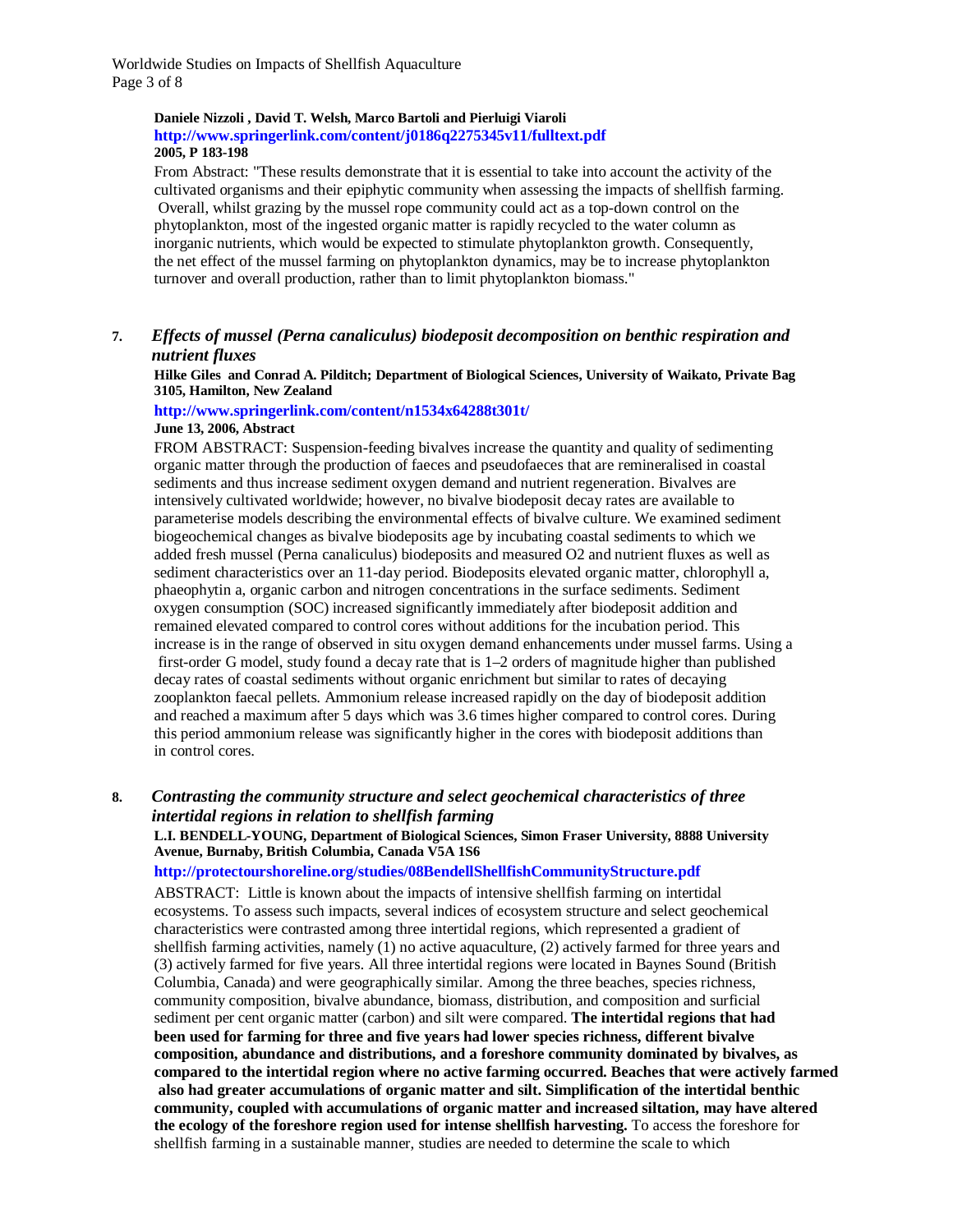Worldwide Studies on Impacts of Shellfish Aquaculture Page 3 of 8

#### **Daniele Nizzoli , David T. Welsh, Marco Bartoli and Pierluigi Viaroli http://www.springerlink.com/content/j0186q2275345v11/fulltext.pdf 2005, P 183-198**

From Abstract: "These results demonstrate that it is essential to take into account the activity of the cultivated organisms and their epiphytic community when assessing the impacts of shellfish farming. Overall, whilst grazing by the mussel rope community could act as a top-down control on the phytoplankton, most of the ingested organic matter is rapidly recycled to the water column as inorganic nutrients, which would be expected to stimulate phytoplankton growth. Consequently, the net effect of the mussel farming on phytoplankton dynamics, may be to increase phytoplankton turnover and overall production, rather than to limit phytoplankton biomass."

### **7.** *Effects of mussel (Perna canaliculus) biodeposit decomposition on benthic respiration and nutrient fluxes*

**Hilke Giles and Conrad A. Pilditch; Department of Biological Sciences, University of Waikato, Private Bag 3105, Hamilton, New Zealand**

#### **http://www.springerlink.com/content/n1534x64288t301t/ June 13, 2006, Abstract**

FROM ABSTRACT: Suspension-feeding bivalves increase the quantity and quality of sedimenting organic matter through the production of faeces and pseudofaeces that are remineralised in coastal sediments and thus increase sediment oxygen demand and nutrient regeneration. Bivalves are intensively cultivated worldwide; however, no bivalve biodeposit decay rates are available to parameterise models describing the environmental effects of bivalve culture. We examined sediment biogeochemical changes as bivalve biodeposits age by incubating coastal sediments to which we added fresh mussel (Perna canaliculus) biodeposits and measured O2 and nutrient fluxes as well as sediment characteristics over an 11-day period. Biodeposits elevated organic matter, chlorophyll a, phaeophytin a, organic carbon and nitrogen concentrations in the surface sediments. Sediment oxygen consumption (SOC) increased significantly immediately after biodeposit addition and remained elevated compared to control cores without additions for the incubation period. This increase is in the range of observed in situ oxygen demand enhancements under mussel farms. Using a first-order G model, study found a decay rate that is 1–2 orders of magnitude higher than published decay rates of coastal sediments without organic enrichment but similar to rates of decaying zooplankton faecal pellets. Ammonium release increased rapidly on the day of biodeposit addition and reached a maximum after 5 days which was 3.6 times higher compared to control cores. During this period ammonium release was significantly higher in the cores with biodeposit additions than in control cores.

#### **8.** *Contrasting the community structure and select geochemical characteristics of three intertidal regions in relation to shellfish farming*

#### **L.I. BENDELL-YOUNG, Department of Biological Sciences, Simon Fraser University, 8888 University Avenue, Burnaby, British Columbia, Canada V5A 1S6**

#### **http://protectourshoreline.org/studies/08BendellShellfishCommunityStructure.pdf**

ABSTRACT: Little is known about the impacts of intensive shellfish farming on intertidal ecosystems. To assess such impacts, several indices of ecosystem structure and select geochemical characteristics were contrasted among three intertidal regions, which represented a gradient of shellfish farming activities, namely (1) no active aquaculture, (2) actively farmed for three years and (3) actively farmed for five years. All three intertidal regions were located in Baynes Sound (British Columbia, Canada) and were geographically similar. Among the three beaches, species richness, community composition, bivalve abundance, biomass, distribution, and composition and surficial sediment per cent organic matter (carbon) and silt were compared. **The intertidal regions that had been used for farming for three and five years had lower species richness, different bivalve composition, abundance and distributions, and a foreshore community dominated by bivalves, as compared to the intertidal region where no active farming occurred. Beaches that were actively farmed also had greater accumulations of organic matter and silt. Simplification of the intertidal benthic community, coupled with accumulations of organic matter and increased siltation, may have altered the ecology of the foreshore region used for intense shellfish harvesting.** To access the foreshore for shellfish farming in a sustainable manner, studies are needed to determine the scale to which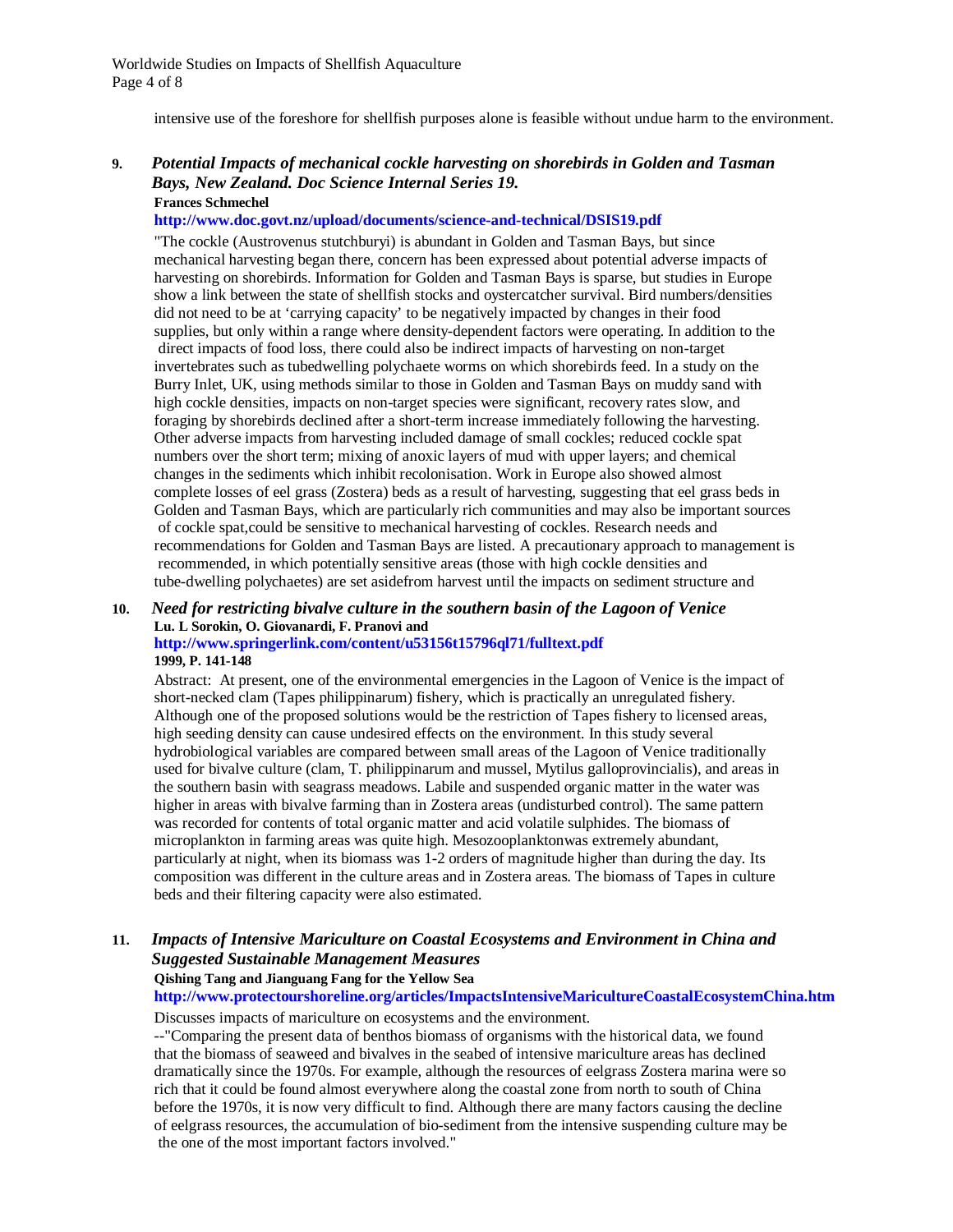intensive use of the foreshore for shellfish purposes alone is feasible without undue harm to the environment.

#### **9.** *Potential Impacts of mechanical cockle harvesting on shorebirds in Golden and Tasman Bays, New Zealand. Doc Science Internal Series 19.* **Frances Schmechel**

#### **http://www.doc.govt.nz/upload/documents/science-and-technical/DSIS19.pdf**

"The cockle (Austrovenus stutchburyi) is abundant in Golden and Tasman Bays, but since mechanical harvesting began there, concern has been expressed about potential adverse impacts of harvesting on shorebirds. Information for Golden and Tasman Bays is sparse, but studies in Europe show a link between the state of shellfish stocks and oystercatcher survival. Bird numbers/densities did not need to be at 'carrying capacity' to be negatively impacted by changes in their food supplies, but only within a range where density-dependent factors were operating. In addition to the direct impacts of food loss, there could also be indirect impacts of harvesting on non-target invertebrates such as tubedwelling polychaete worms on which shorebirds feed. In a study on the Burry Inlet, UK, using methods similar to those in Golden and Tasman Bays on muddy sand with high cockle densities, impacts on non-target species were significant, recovery rates slow, and foraging by shorebirds declined after a short-term increase immediately following the harvesting. Other adverse impacts from harvesting included damage of small cockles; reduced cockle spat numbers over the short term; mixing of anoxic layers of mud with upper layers; and chemical changes in the sediments which inhibit recolonisation. Work in Europe also showed almost complete losses of eel grass (Zostera) beds as a result of harvesting, suggesting that eel grass beds in Golden and Tasman Bays, which are particularly rich communities and may also be important sources of cockle spat,could be sensitive to mechanical harvesting of cockles. Research needs and recommendations for Golden and Tasman Bays are listed. A precautionary approach to management is recommended, in which potentially sensitive areas (those with high cockle densities and tube-dwelling polychaetes) are set asidefrom harvest until the impacts on sediment structure and

# **10.** *Need for restricting bivalve culture in the southern basin of the Lagoon of Venice* **Lu. L Sorokin, O. Giovanardi, F. Pranovi and**

#### **http://www.springerlink.com/content/u53156t15796ql71/fulltext.pdf 1999, P. 141-148**

Abstract: At present, one of the environmental emergencies in the Lagoon of Venice is the impact of short-necked clam (Tapes philippinarum) fishery, which is practically an unregulated fishery. Although one of the proposed solutions would be the restriction of Tapes fishery to licensed areas, high seeding density can cause undesired effects on the environment. In this study several hydrobiological variables are compared between small areas of the Lagoon of Venice traditionally used for bivalve culture (clam, T. philippinarum and mussel, Mytilus galloprovincialis), and areas in the southern basin with seagrass meadows. Labile and suspended organic matter in the water was higher in areas with bivalve farming than in Zostera areas (undisturbed control). The same pattern was recorded for contents of total organic matter and acid volatile sulphides. The biomass of microplankton in farming areas was quite high. Mesozooplanktonwas extremely abundant, particularly at night, when its biomass was 1-2 orders of magnitude higher than during the day. Its composition was different in the culture areas and in Zostera areas. The biomass of Tapes in culture beds and their filtering capacity were also estimated.

### **11.** *Impacts of Intensive Mariculture on Coastal Ecosystems and Environment in China and Suggested Sustainable Management Measures*

#### **Qishing Tang and Jianguang Fang for the Yellow Sea**

## **http://www.protectourshoreline.org/articles/ImpactsIntensiveMaricultureCoastalEcosystemChina.htm**

Discusses impacts of mariculture on ecosystems and the environment.

--"Comparing the present data of benthos biomass of organisms with the historical data, we found that the biomass of seaweed and bivalves in the seabed of intensive mariculture areas has declined dramatically since the 1970s. For example, although the resources of eelgrass Zostera marina were so rich that it could be found almost everywhere along the coastal zone from north to south of China before the 1970s, it is now very difficult to find. Although there are many factors causing the decline of eelgrass resources, the accumulation of bio-sediment from the intensive suspending culture may be the one of the most important factors involved."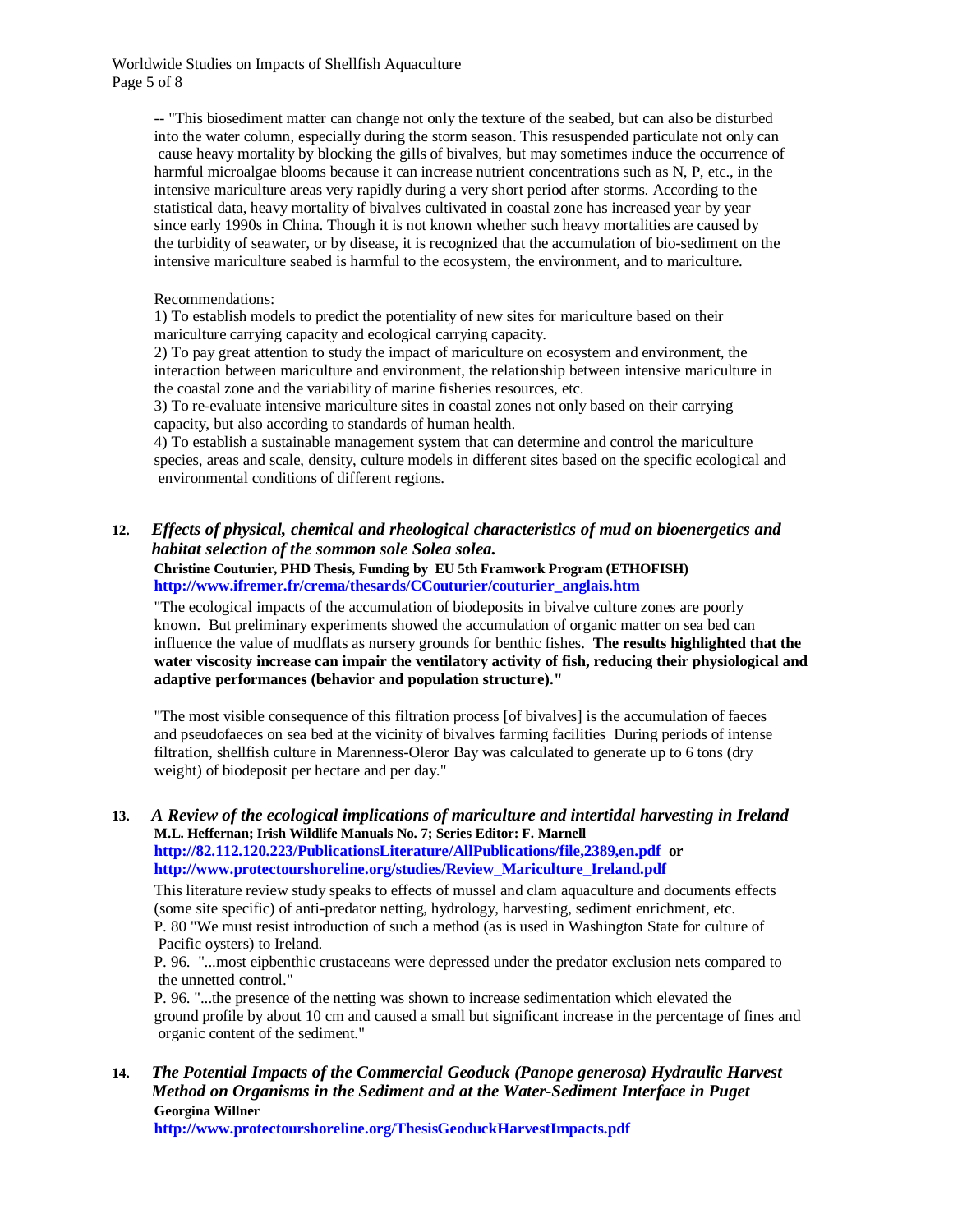Worldwide Studies on Impacts of Shellfish Aquaculture Page 5 of 8

> -- "This biosediment matter can change not only the texture of the seabed, but can also be disturbed into the water column, especially during the storm season. This resuspended particulate not only can cause heavy mortality by blocking the gills of bivalves, but may sometimes induce the occurrence of harmful microalgae blooms because it can increase nutrient concentrations such as N, P, etc., in the intensive mariculture areas very rapidly during a very short period after storms. According to the statistical data, heavy mortality of bivalves cultivated in coastal zone has increased year by year since early 1990s in China. Though it is not known whether such heavy mortalities are caused by the turbidity of seawater, or by disease, it is recognized that the accumulation of bio-sediment on the intensive mariculture seabed is harmful to the ecosystem, the environment, and to mariculture.

#### Recommendations:

1) To establish models to predict the potentiality of new sites for mariculture based on their mariculture carrying capacity and ecological carrying capacity.

2) To pay great attention to study the impact of mariculture on ecosystem and environment, the interaction between mariculture and environment, the relationship between intensive mariculture in the coastal zone and the variability of marine fisheries resources, etc.

3) To re-evaluate intensive mariculture sites in coastal zones not only based on their carrying capacity, but also according to standards of human health.

4) To establish a sustainable management system that can determine and control the mariculture species, areas and scale, density, culture models in different sites based on the specific ecological and environmental conditions of different regions.

**12.** *Effects of physical, chemical and rheological characteristics of mud on bioenergetics and habitat selection of the sommon sole Solea solea.*

**Christine Couturier, PHD Thesis, Funding by EU 5th Framwork Program (ETHOFISH) http://www.ifremer.fr/crema/thesards/CCouturier/couturier\_anglais.htm**

"The ecological impacts of the accumulation of biodeposits in bivalve culture zones are poorly known. But preliminary experiments showed the accumulation of organic matter on sea bed can influence the value of mudflats as nursery grounds for benthic fishes. **The results highlighted that the water viscosity increase can impair the ventilatory activity of fish, reducing their physiological and adaptive performances (behavior and population structure)."**

"The most visible consequence of this filtration process [of bivalves] is the accumulation of faeces and pseudofaeces on sea bed at the vicinity of bivalves farming facilities During periods of intense filtration, shellfish culture in Marenness-Oleror Bay was calculated to generate up to 6 tons (dry weight) of biodeposit per hectare and per day."

#### **13.** *A Review of the ecological implications of mariculture and intertidal harvesting in Ireland* **M.L. Heffernan; Irish Wildlife Manuals No. 7; Series Editor: F. Marnell http://82.112.120.223/PublicationsLiterature/AllPublications/file,2389,en.pdf or http://www.protectourshoreline.org/studies/Review\_Mariculture\_Ireland.pdf**

This literature review study speaks to effects of mussel and clam aquaculture and documents effects (some site specific) of anti-predator netting, hydrology, harvesting, sediment enrichment, etc. P. 80 "We must resist introduction of such a method (as is used in Washington State for culture of Pacific oysters) to Ireland.

P. 96. "...most eipbenthic crustaceans were depressed under the predator exclusion nets compared to the unnetted control."

P. 96. "...the presence of the netting was shown to increase sedimentation which elevated the ground profile by about 10 cm and caused a small but significant increase in the percentage of fines and organic content of the sediment."

**14.** *The Potential Impacts of the Commercial Geoduck (Panope generosa) Hydraulic Harvest Method on Organisms in the Sediment and at the Water-Sediment Interface in Puget* **Georgina Willner**

**http://www.protectourshoreline.org/ThesisGeoduckHarvestImpacts.pdf**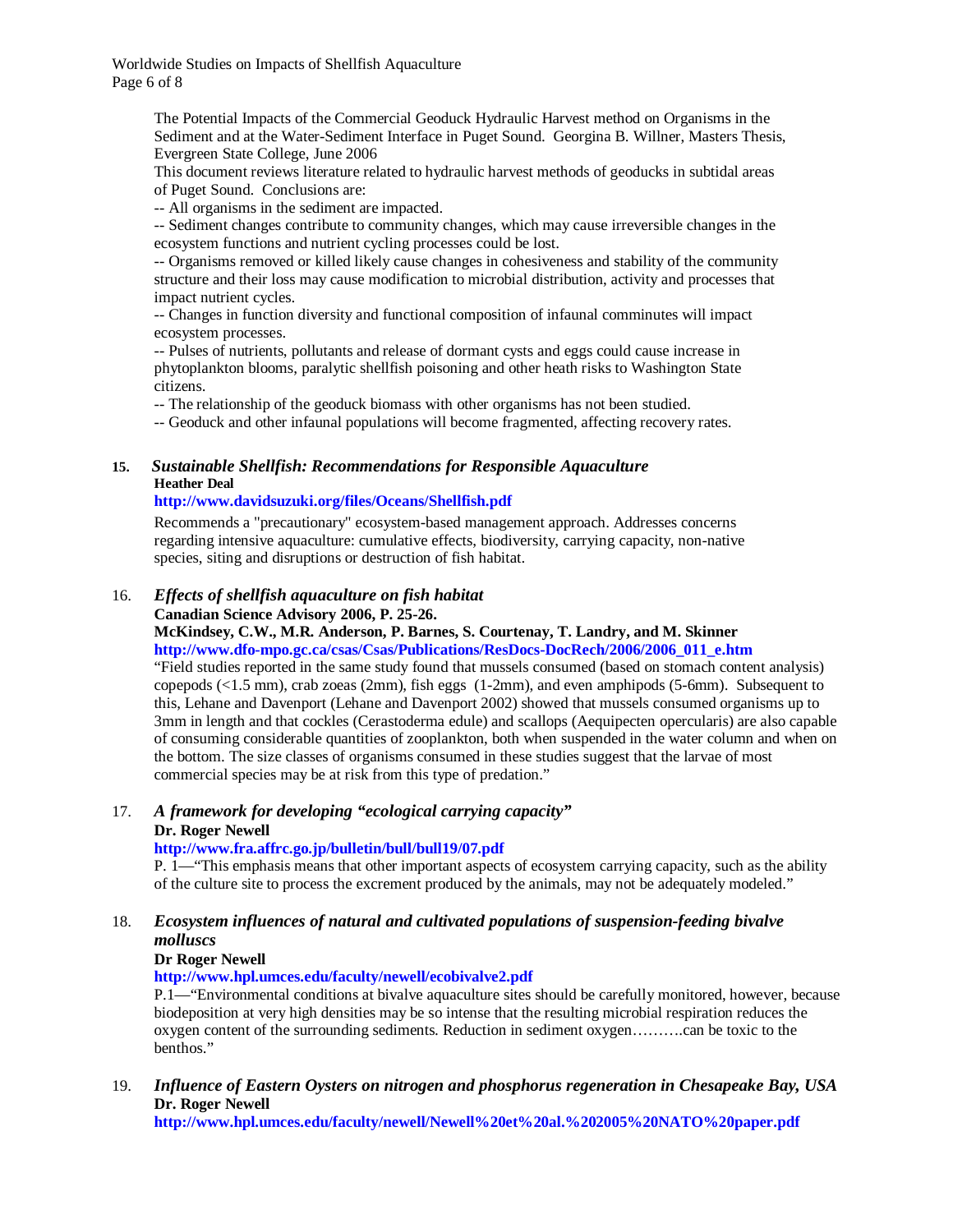Worldwide Studies on Impacts of Shellfish Aquaculture Page 6 of 8

> The Potential Impacts of the Commercial Geoduck Hydraulic Harvest method on Organisms in the Sediment and at the Water-Sediment Interface in Puget Sound. Georgina B. Willner, Masters Thesis, Evergreen State College, June 2006

This document reviews literature related to hydraulic harvest methods of geoducks in subtidal areas of Puget Sound. Conclusions are:

-- All organisms in the sediment are impacted.

-- Sediment changes contribute to community changes, which may cause irreversible changes in the ecosystem functions and nutrient cycling processes could be lost.

-- Organisms removed or killed likely cause changes in cohesiveness and stability of the community structure and their loss may cause modification to microbial distribution, activity and processes that impact nutrient cycles.

-- Changes in function diversity and functional composition of infaunal comminutes will impact ecosystem processes.

-- Pulses of nutrients, pollutants and release of dormant cysts and eggs could cause increase in phytoplankton blooms, paralytic shellfish poisoning and other heath risks to Washington State citizens.

-- The relationship of the geoduck biomass with other organisms has not been studied.

-- Geoduck and other infaunal populations will become fragmented, affecting recovery rates.

### **15.** *Sustainable Shellfish: Recommendations for Responsible Aquaculture* **Heather Deal**

#### **http://www.davidsuzuki.org/files/Oceans/Shellfish.pdf**

Recommends a "precautionary" ecosystem-based management approach. Addresses concerns regarding intensive aquaculture: cumulative effects, biodiversity, carrying capacity, non-native species, siting and disruptions or destruction of fish habitat.

# 16. *Effects of shellfish aquaculture on fish habitat*

**Canadian Science Advisory 2006, P. 25-26.**

**McKindsey, C.W., M.R. Anderson, P. Barnes, S. Courtenay, T. Landry, and M. Skinner http://www.dfo-mpo.gc.ca/csas/Csas/Publications/ResDocs-DocRech/2006/2006\_011\_e.htm**

"Field studies reported in the same study found that mussels consumed (based on stomach content analysis) copepods (<1.5 mm), crab zoeas (2mm), fish eggs (1-2mm), and even amphipods (5-6mm). Subsequent to this, Lehane and Davenport (Lehane and Davenport 2002) showed that mussels consumed organisms up to 3mm in length and that cockles (Cerastoderma edule) and scallops (Aequipecten opercularis) are also capable of consuming considerable quantities of zooplankton, both when suspended in the water column and when on the bottom. The size classes of organisms consumed in these studies suggest that the larvae of most commercial species may be at risk from this type of predation."

#### 17. *A framework for developing "ecological carrying capacity"* **Dr. Roger Newell**

#### **http://www.fra.affrc.go.jp/bulletin/bull/bull19/07.pdf**

P. 1—"This emphasis means that other important aspects of ecosystem carrying capacity, such as the ability of the culture site to process the excrement produced by the animals, may not be adequately modeled."

#### 18. *Ecosystem influences of natural and cultivated populations of suspension-feeding bivalve molluscs*

### **Dr Roger Newell**

**http://www.hpl.umces.edu/faculty/newell/ecobivalve2.pdf**

P.1—"Environmental conditions at bivalve aquaculture sites should be carefully monitored, however, because biodeposition at very high densities may be so intense that the resulting microbial respiration reduces the oxygen content of the surrounding sediments. Reduction in sediment oxygen……….can be toxic to the benthos."

19. *Influence of Eastern Oysters on nitrogen and phosphorus regeneration in Chesapeake Bay, USA* **Dr. Roger Newell**

**http://www.hpl.umces.edu/faculty/newell/Newell%20et%20al.%202005%20NATO%20paper.pdf**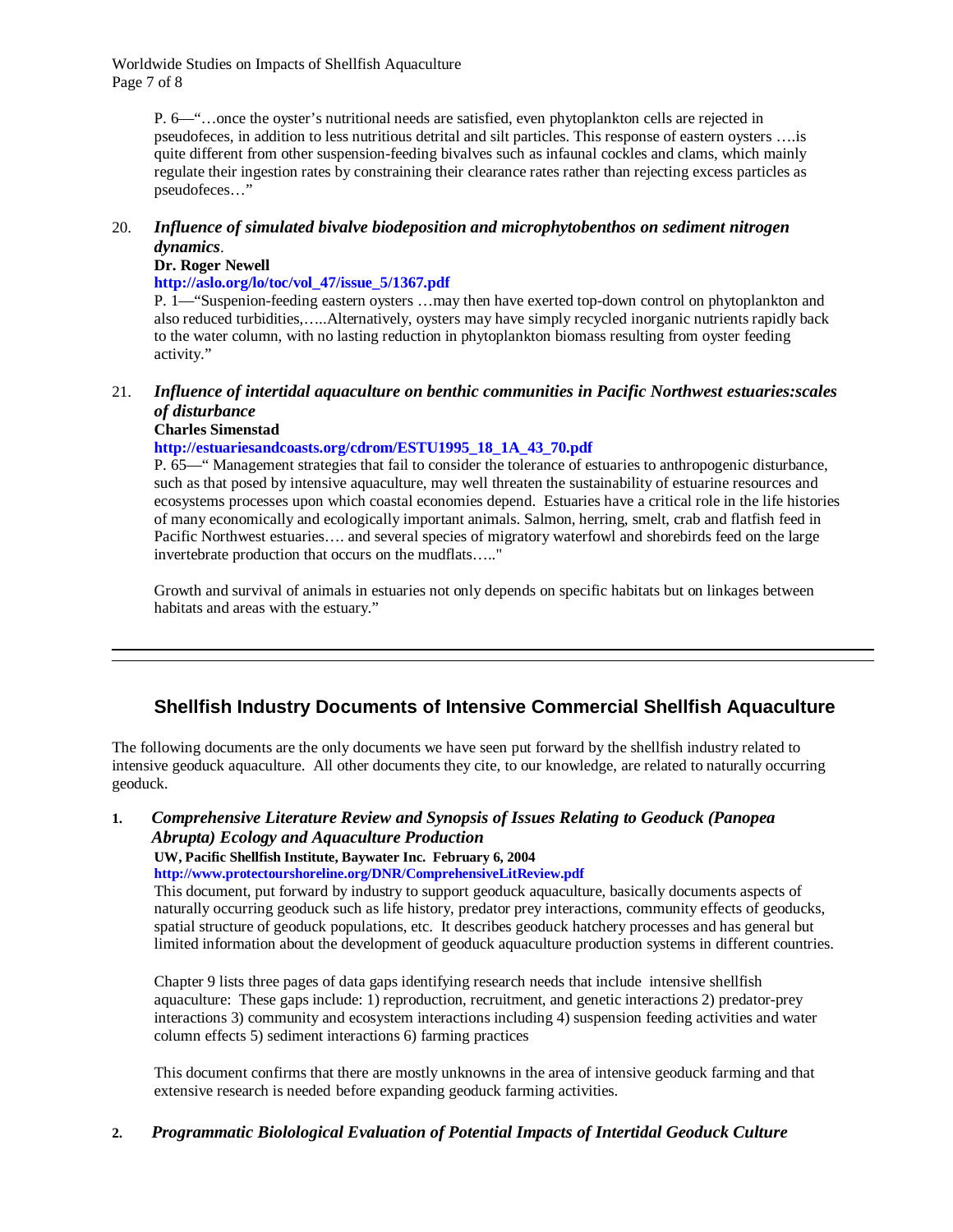Worldwide Studies on Impacts of Shellfish Aquaculture Page 7 of 8

> P. 6—"…once the oyster's nutritional needs are satisfied, even phytoplankton cells are rejected in pseudofeces, in addition to less nutritious detrital and silt particles. This response of eastern oysters ….is quite different from other suspension-feeding bivalves such as infaunal cockles and clams, which mainly regulate their ingestion rates by constraining their clearance rates rather than rejecting excess particles as pseudofeces…"

### 20. *Influence of simulated bivalve biodeposition and microphytobenthos on sediment nitrogen dynamics*.

#### **Dr. Roger Newell**

**http://aslo.org/lo/toc/vol\_47/issue\_5/1367.pdf**

P. 1—"Suspenion-feeding eastern oysters …may then have exerted top-down control on phytoplankton and also reduced turbidities,…..Alternatively, oysters may have simply recycled inorganic nutrients rapidly back to the water column, with no lasting reduction in phytoplankton biomass resulting from oyster feeding activity."

### 21. *Influence of intertidal aquaculture on benthic communities in Pacific Northwest estuaries:scales of disturbance*

#### **Charles Simenstad**

#### **http://estuariesandcoasts.org/cdrom/ESTU1995\_18\_1A\_43\_70.pdf**

P. 65—" Management strategies that fail to consider the tolerance of estuaries to anthropogenic disturbance, such as that posed by intensive aquaculture, may well threaten the sustainability of estuarine resources and ecosystems processes upon which coastal economies depend. Estuaries have a critical role in the life histories of many economically and ecologically important animals. Salmon, herring, smelt, crab and flatfish feed in Pacific Northwest estuaries…. and several species of migratory waterfowl and shorebirds feed on the large invertebrate production that occurs on the mudflats….."

Growth and survival of animals in estuaries not only depends on specific habitats but on linkages between habitats and areas with the estuary."

# **Shellfish Industry Documents of Intensive Commercial Shellfish Aquaculture**

The following documents are the only documents we have seen put forward by the shellfish industry related to intensive geoduck aquaculture. All other documents they cite, to our knowledge, are related to naturally occurring geoduck.

#### **1.** *Comprehensive Literature Review and Synopsis of Issues Relating to Geoduck (Panopea Abrupta) Ecology and Aquaculture Production*

#### **UW, Pacific Shellfish Institute, Baywater Inc. February 6, 2004**

**http://www.protectourshoreline.org/DNR/ComprehensiveLitReview.pdf**

This document, put forward by industry to support geoduck aquaculture, basically documents aspects of naturally occurring geoduck such as life history, predator prey interactions, community effects of geoducks, spatial structure of geoduck populations, etc. It describes geoduck hatchery processes and has general but limited information about the development of geoduck aquaculture production systems in different countries.

Chapter 9 lists three pages of data gaps identifying research needs that include intensive shellfish aquaculture: These gaps include: 1) reproduction, recruitment, and genetic interactions 2) predator-prey interactions 3) community and ecosystem interactions including 4) suspension feeding activities and water column effects 5) sediment interactions 6) farming practices

This document confirms that there are mostly unknowns in the area of intensive geoduck farming and that extensive research is needed before expanding geoduck farming activities.

### **2.** *Programmatic Biolological Evaluation of Potential Impacts of Intertidal Geoduck Culture*